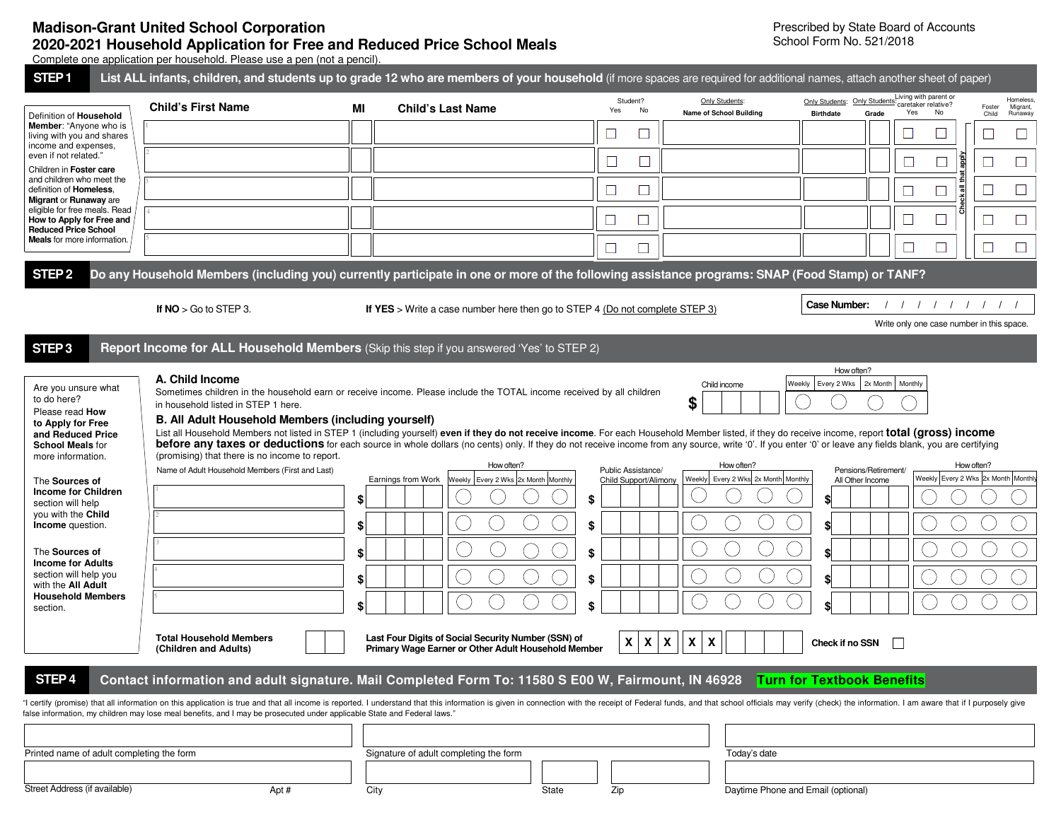## **Madison-Grant United School Corporation 2020-2021 Household Application for Free and Reduced Price School Meals**  Complete one application per household. Please use a pen (not a pencil).

Prescribed by State Board of Accounts School Form No. 521/2018

| STEP <sub>1</sub>                                                                                                                                                                                                                                                                                                                                                                                                                                                                                                                                                                                                                                                                                                                                                                                                                                       | List ALL infants, children, and students up to grade 12 who are members of your household (if more spaces are required for additional names, attach another sheet of paper)                                                                                                                                                                                                                                                                                                                                                                                                                                                                                                                                                                                   |                             |                    |                                                                              |       |                            |                                             |                                                                         |                                    |                                                                  |                                                                                         |                 |                                  |
|---------------------------------------------------------------------------------------------------------------------------------------------------------------------------------------------------------------------------------------------------------------------------------------------------------------------------------------------------------------------------------------------------------------------------------------------------------------------------------------------------------------------------------------------------------------------------------------------------------------------------------------------------------------------------------------------------------------------------------------------------------------------------------------------------------------------------------------------------------|---------------------------------------------------------------------------------------------------------------------------------------------------------------------------------------------------------------------------------------------------------------------------------------------------------------------------------------------------------------------------------------------------------------------------------------------------------------------------------------------------------------------------------------------------------------------------------------------------------------------------------------------------------------------------------------------------------------------------------------------------------------|-----------------------------|--------------------|------------------------------------------------------------------------------|-------|----------------------------|---------------------------------------------|-------------------------------------------------------------------------|------------------------------------|------------------------------------------------------------------|-----------------------------------------------------------------------------------------|-----------------|----------------------------------|
| Definition of Household                                                                                                                                                                                                                                                                                                                                                                                                                                                                                                                                                                                                                                                                                                                                                                                                                                 | <b>Child's First Name</b>                                                                                                                                                                                                                                                                                                                                                                                                                                                                                                                                                                                                                                                                                                                                     | МI                          |                    | <b>Child's Last Name</b>                                                     |       |                            | Student?<br>Yes<br>No                       | Only Students:<br><b>Name of School Building</b>                        | <b>Birthdate</b>                   | Grade                                                            | Living with parent or<br>Only Students: Only Students: caretaker relative?<br>Yes<br>No | Foster<br>Child | Homeless,<br>Migrant,<br>Runaway |
| Member: "Anyone who is<br>living with you and shares                                                                                                                                                                                                                                                                                                                                                                                                                                                                                                                                                                                                                                                                                                                                                                                                    |                                                                                                                                                                                                                                                                                                                                                                                                                                                                                                                                                                                                                                                                                                                                                               |                             |                    |                                                                              |       | $\Box$                     |                                             |                                                                         |                                    |                                                                  |                                                                                         |                 |                                  |
| income and expenses,<br>even if not related."<br>Children in Foster care                                                                                                                                                                                                                                                                                                                                                                                                                                                                                                                                                                                                                                                                                                                                                                                |                                                                                                                                                                                                                                                                                                                                                                                                                                                                                                                                                                                                                                                                                                                                                               |                             |                    |                                                                              |       | $\Box$                     | $\Box$                                      |                                                                         |                                    |                                                                  | $\Box$<br>$\Box$                                                                        | Îg              |                                  |
| and children who meet the<br>definition of Homeless.                                                                                                                                                                                                                                                                                                                                                                                                                                                                                                                                                                                                                                                                                                                                                                                                    |                                                                                                                                                                                                                                                                                                                                                                                                                                                                                                                                                                                                                                                                                                                                                               |                             |                    |                                                                              |       | $\Box$                     |                                             |                                                                         |                                    |                                                                  |                                                                                         | 등               |                                  |
| Migrant or Runaway are<br>eligible for free meals. Read<br>How to Apply for Free and                                                                                                                                                                                                                                                                                                                                                                                                                                                                                                                                                                                                                                                                                                                                                                    |                                                                                                                                                                                                                                                                                                                                                                                                                                                                                                                                                                                                                                                                                                                                                               |                             |                    |                                                                              |       | ⊔                          | ⊔                                           |                                                                         |                                    |                                                                  | ⊔                                                                                       |                 | $\Box$                           |
| <b>Reduced Price School</b><br><b>Meals</b> for more information.                                                                                                                                                                                                                                                                                                                                                                                                                                                                                                                                                                                                                                                                                                                                                                                       |                                                                                                                                                                                                                                                                                                                                                                                                                                                                                                                                                                                                                                                                                                                                                               |                             |                    |                                                                              |       | $\Box$                     |                                             |                                                                         |                                    |                                                                  |                                                                                         |                 | $\Box$                           |
| STEP <sub>2</sub>                                                                                                                                                                                                                                                                                                                                                                                                                                                                                                                                                                                                                                                                                                                                                                                                                                       | Do any Household Members (including you) currently participate in one or more of the following assistance programs: SNAP (Food Stamp) or TANF?                                                                                                                                                                                                                                                                                                                                                                                                                                                                                                                                                                                                                |                             |                    |                                                                              |       |                            |                                             |                                                                         |                                    |                                                                  |                                                                                         |                 |                                  |
|                                                                                                                                                                                                                                                                                                                                                                                                                                                                                                                                                                                                                                                                                                                                                                                                                                                         | If $NO > Go$ to STEP 3.                                                                                                                                                                                                                                                                                                                                                                                                                                                                                                                                                                                                                                                                                                                                       |                             |                    | If YES > Write a case number here then go to STEP 4 (Do not complete STEP 3) |       |                            |                                             |                                                                         | Case Number:                       |                                                                  | 1111111                                                                                 |                 | $\left  \right $                 |
|                                                                                                                                                                                                                                                                                                                                                                                                                                                                                                                                                                                                                                                                                                                                                                                                                                                         |                                                                                                                                                                                                                                                                                                                                                                                                                                                                                                                                                                                                                                                                                                                                                               |                             |                    |                                                                              |       |                            |                                             |                                                                         |                                    |                                                                  | Write only one case number in this space.                                               |                 |                                  |
| STEP <sub>3</sub>                                                                                                                                                                                                                                                                                                                                                                                                                                                                                                                                                                                                                                                                                                                                                                                                                                       | Report Income for ALL Household Members (Skip this step if you answered 'Yes' to STEP 2)                                                                                                                                                                                                                                                                                                                                                                                                                                                                                                                                                                                                                                                                      |                             |                    |                                                                              |       |                            |                                             |                                                                         |                                    |                                                                  |                                                                                         |                 |                                  |
| Are you unsure what<br>to do here?<br>Please read How<br>to Apply for Free<br>and Reduced Price<br><b>School Meals for</b><br>more information.<br>The Sources of<br><b>Income for Children</b><br>section will help<br>you with the Child<br><b>Income</b> question.<br>The Sources of<br><b>Income for Adults</b><br>section will help you<br>with the All Adult<br><b>Household Members</b><br>section.                                                                                                                                                                                                                                                                                                                                                                                                                                              | A. Child Income<br>Sometimes children in the household earn or receive income. Please include the TOTAL income received by all children<br>in household listed in STEP 1 here.<br>B. All Adult Household Members (including yourself)<br>List all Household Members not listed in STEP 1 (including yourself) even if they do not receive income. For each Household Member listed, if they do receive income, report total (gross) income<br>before any taxes or deductions for each source in whole dollars (no cents) only. If they do not receive income from any source, write '0'. If you enter '0' or leave any fields blank, you are certifying<br>(promising) that there is no income to report.<br>Name of Adult Household Members (First and Last) | \$<br>\$<br>\$<br>\$<br>\$l | Earnings from Work | How often?<br>Weekly Every 2 Wks 2x Month Monthly                            |       | \$<br>\$<br>\$<br>\$<br>\$ | Public Assistance/<br>Child Support/Alimony | Child income<br>\$<br>How often?<br>Weekly Every 2 Wks 2x Month Monthly | Weekly<br>\$<br>\$<br>\$<br>ፍ<br>¢ | Every 2 Wks 2x Month<br>Pensions/Retirement/<br>All Other Income | Monthly<br>Weekly Every 2 Wks 2x Month Monthly                                          | How often?      |                                  |
| <b>Total Household Members</b><br>Last Four Digits of Social Security Number (SSN) of<br>X<br>$\mathsf{x}$<br>X<br>X<br>X<br>Check if no SSN<br>Primary Wage Earner or Other Adult Household Member<br>(Children and Adults)<br>Contact information and adult signature. Mail Completed Form To: 11580 S E00 W, Fairmount, IN 46928 Turn for Textbook Benefits<br>STEP <sub>4</sub><br>"I certify (promise) that all information on this application is true and that all income is reported. I understand that this information is given in connection with the receipt of Federal funds, and that school officials<br>false information, my children may lose meal benefits, and I may be prosecuted under applicable State and Federal laws."<br>Printed name of adult completing the form<br>Signature of adult completing the form<br>Today's date |                                                                                                                                                                                                                                                                                                                                                                                                                                                                                                                                                                                                                                                                                                                                                               |                             |                    |                                                                              |       |                            |                                             |                                                                         |                                    |                                                                  |                                                                                         |                 |                                  |
| Street Address (if available)                                                                                                                                                                                                                                                                                                                                                                                                                                                                                                                                                                                                                                                                                                                                                                                                                           | Apt#                                                                                                                                                                                                                                                                                                                                                                                                                                                                                                                                                                                                                                                                                                                                                          |                             | City               |                                                                              | State |                            | Zip                                         | Daytime Phone and Email (optional)                                      |                                    |                                                                  |                                                                                         |                 |                                  |